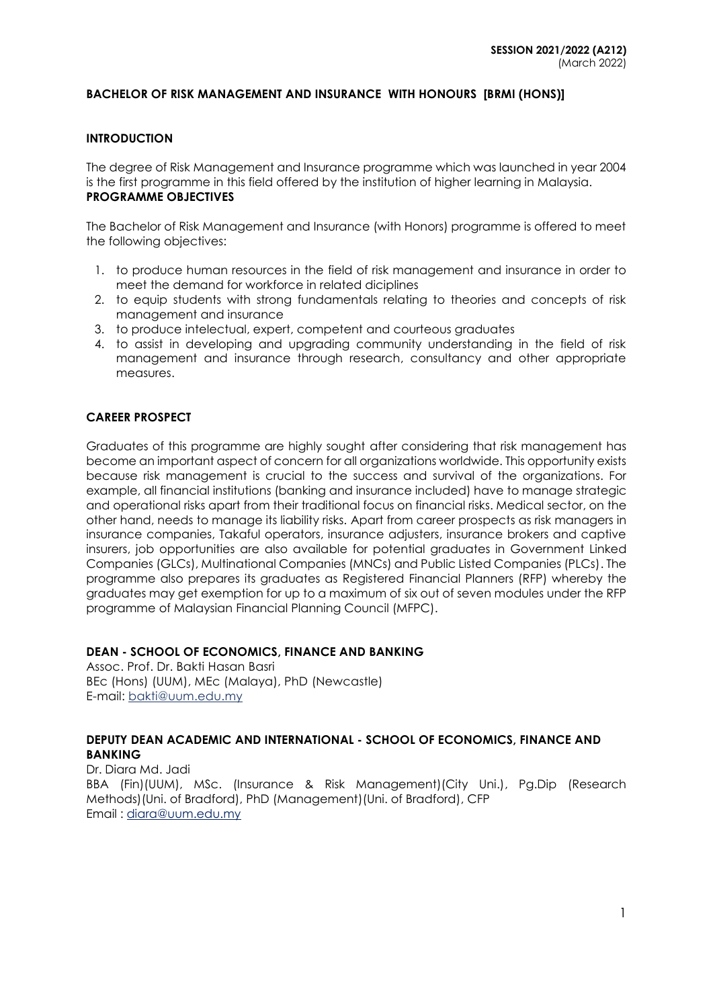#### **BACHELOR OF RISK MANAGEMENT AND INSURANCE WITH HONOURS [BRMI (HONS)]**

#### **INTRODUCTION**

The degree of Risk Management and Insurance programme which was launched in year 2004 is the first programme in this field offered by the institution of higher learning in Malaysia. **PROGRAMME OBJECTIVES**

The Bachelor of Risk Management and Insurance (with Honors) programme is offered to meet the following objectives:

- 1. to produce human resources in the field of risk management and insurance in order to meet the demand for workforce in related diciplines
- 2. to equip students with strong fundamentals relating to theories and concepts of risk management and insurance
- 3. to produce intelectual, expert, competent and courteous graduates
- 4. to assist in developing and upgrading community understanding in the field of risk management and insurance through research, consultancy and other appropriate measures.

#### **CAREER PROSPECT**

Graduates of this programme are highly sought after considering that risk management has become an important aspect of concern for all organizations worldwide. This opportunity exists because risk management is crucial to the success and survival of the organizations. For example, all financial institutions (banking and insurance included) have to manage strategic and operational risks apart from their traditional focus on financial risks. Medical sector, on the other hand, needs to manage its liability risks. Apart from career prospects as risk managers in insurance companies, Takaful operators, insurance adjusters, insurance brokers and captive insurers, job opportunities are also available for potential graduates in Government Linked Companies (GLCs), Multinational Companies (MNCs) and Public Listed Companies (PLCs). The programme also prepares its graduates as Registered Financial Planners (RFP) whereby the graduates may get exemption for up to a maximum of six out of seven modules under the RFP programme of Malaysian Financial Planning Council (MFPC).

#### **DEAN - SCHOOL OF ECONOMICS, FINANCE AND BANKING**

Assoc. Prof. Dr. Bakti Hasan Basri BEc (Hons) (UUM), MEc (Malaya), PhD (Newcastle) E-mail: [bakti@uum.edu.my](mailto:bakti@uum.edu.my)

#### **DEPUTY DEAN ACADEMIC AND INTERNATIONAL - SCHOOL OF ECONOMICS, FINANCE AND BANKING**

Dr. Diara Md. Jadi BBA (Fin)(UUM), MSc. (Insurance & Risk Management)(City Uni.), Pg.Dip (Research Methods)(Uni. of Bradford), PhD (Management)(Uni. of Bradford), CFP Email : [diara@uum.edu.my](mailto:diara@uum.edu.my)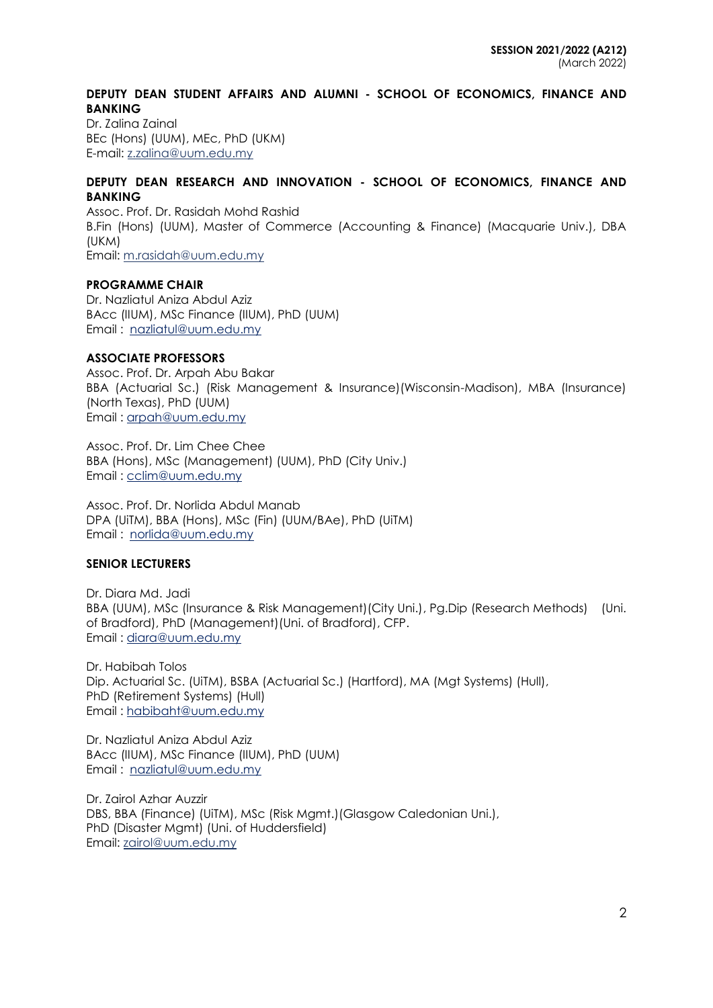### **DEPUTY DEAN STUDENT AFFAIRS AND ALUMNI - SCHOOL OF ECONOMICS, FINANCE AND BANKING**

Dr. Zalina Zainal BEc (Hons) (UUM), MEc, PhD (UKM) E-mail: [z.zalina@uum.edu.my](mailto:z.zalina@uum.edu.my)

### **DEPUTY DEAN RESEARCH AND INNOVATION - SCHOOL OF ECONOMICS, FINANCE AND BANKING**

Assoc. Prof. Dr. Rasidah Mohd Rashid B.Fin (Hons) (UUM), Master of Commerce (Accounting & Finance) (Macquarie Univ.), DBA (UKM) Email: [m.rasidah@uum.edu.my](mailto:m.rasidah@uum.edu.my)

### **PROGRAMME CHAIR**

Dr. Nazliatul Aniza Abdul Aziz BAcc (IIUM), MSc Finance (IIUM), PhD (UUM) Email : [nazliatul@uum.edu.my](mailto:nazliatul@uum.edu.my)

### **ASSOCIATE PROFESSORS**

Assoc. Prof. Dr. Arpah Abu Bakar BBA (Actuarial Sc.) (Risk Management & Insurance)(Wisconsin-Madison), MBA (Insurance) (North Texas), PhD (UUM) Email : [arpah@uum.edu.my](mailto:arpah@uum.edu.my)

Assoc. Prof. Dr. Lim Chee Chee BBA (Hons), MSc (Management) (UUM), PhD (City Univ.) Email : [cclim@uum.edu.my](mailto:cclim@uum.edu.my)

Assoc. Prof. Dr. Norlida Abdul Manab DPA (UiTM), BBA (Hons), MSc (Fin) (UUM/BAe), PhD (UiTM) Email : [norlida@uum.edu.my](mailto:norlida@uum.edu.my)

### **SENIOR LECTURERS**

Dr. Diara Md. Jadi BBA (UUM), MSc (Insurance & Risk Management) (City Uni.), Pg.Dip (Research Methods) (Uni. of Bradford), PhD (Management)(Uni. of Bradford), CFP. Email : [diara@uum.edu.my](mailto:diara@uum.edu.my)

Dr. Habibah Tolos Dip. Actuarial Sc. (UiTM), BSBA (Actuarial Sc.) (Hartford), MA (Mgt Systems) (Hull), PhD (Retirement Systems) (Hull) Email : [habibaht@uum.edu.my](mailto:habibaht@uum.edu.my)

Dr. Nazliatul Aniza Abdul Aziz BAcc (IIUM), MSc Finance (IIUM), PhD (UUM) Email : [nazliatul@uum.edu.my](mailto:nazliatul@uum.edu.my)

Dr. Zairol Azhar Auzzir DBS, BBA (Finance) (UiTM), MSc (Risk Mgmt.)(Glasgow Caledonian Uni.), PhD (Disaster Mgmt) (Uni. of Huddersfield) Email: [zairol@uum.edu.my](mailto:zairol@uum.edu.my)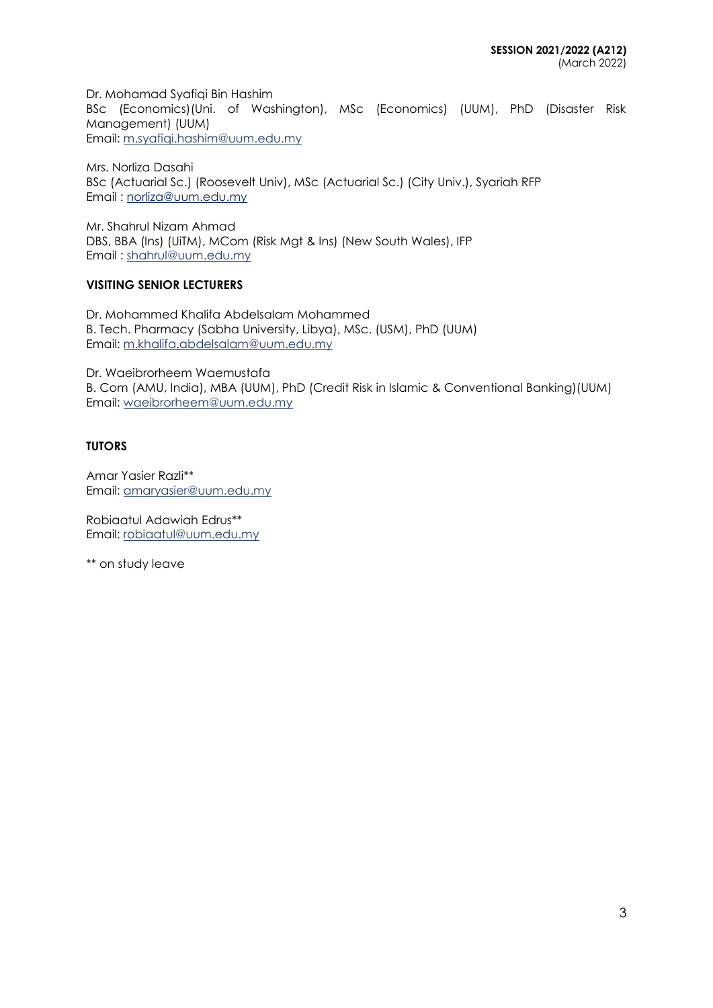Dr. Mohamad Syafiqi Bin Hashim BSc (Economics)(Uni. of Washington), MSc (Economics) (UUM), PhD (Disaster Risk Management) (UUM) Email: [m.syafiqi.hashim@uum.edu.my](mailto:m.syafiqi.hashim@uum.edu.my)

Mrs. Norliza Dasahi BSc (Actuarial Sc.) (Roosevelt Univ), MSc (Actuarial Sc.) (City Univ.), Syariah RFP Email : norliza@uum.edu.my

Mr. Shahrul Nizam Ahmad DBS, BBA (Ins) (UiTM), MCom (Risk Mgt & Ins) (New South Wales), IFP Email : [shahrul@uum.edu.my](mailto:shahrul@uum.edu.my)

# **VISITING SENIOR LECTURERS**

Dr. Mohammed Khalifa Abdelsalam Mohammed B. Tech. Pharmacy (Sabha University, Libya), MSc. (USM), PhD (UUM) Email: m.khalifa.abdelsalam@uum.edu.my

Dr. Waeibrorheem Waemustafa B. Com (AMU, India), MBA (UUM), PhD (Credit Risk in Islamic & Conventional Banking)(UUM) Email: waeibrorheem@uum.edu.my

# **TUTORS**

Amar Yasier Razli\*\* Email: amaryasier@uum.edu.my

Robiaatul Adawiah Edrus\*\* Email: [robiaatul@uum.edu.my](mailto:robiaatul@uum.edu.my)

\*\* on study leave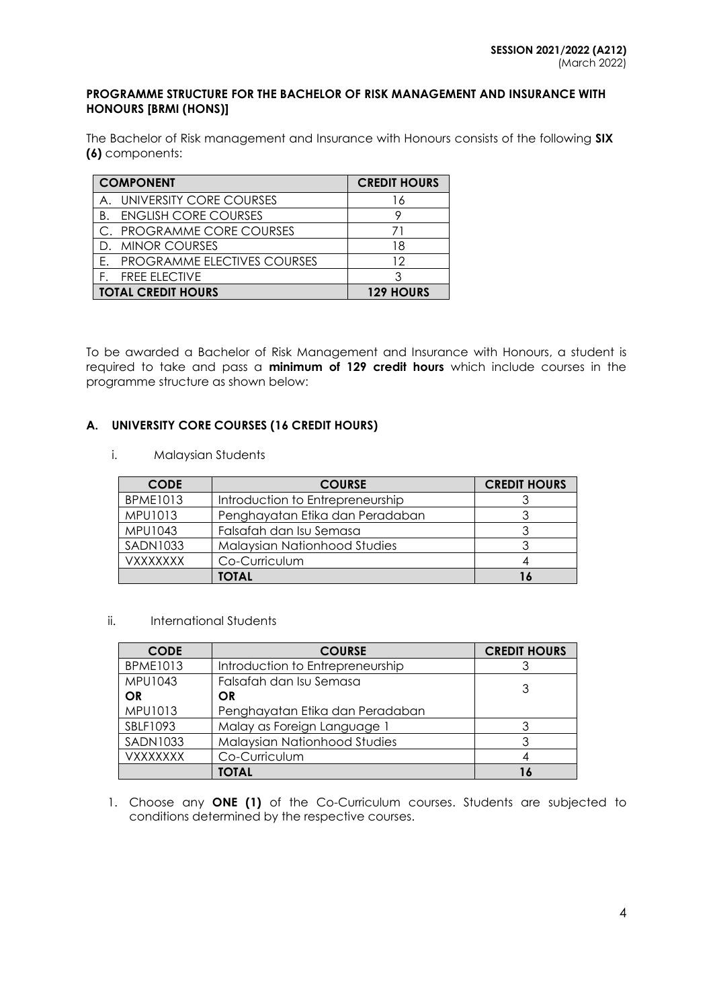#### **PROGRAMME STRUCTURE FOR THE BACHELOR OF RISK MANAGEMENT AND INSURANCE WITH HONOURS [BRMI (HONS)]**

The Bachelor of Risk management and Insurance with Honours consists of the following **SIX (6)** components:

| <b>COMPONENT</b>                   | <b>CREDIT HOURS</b> |
|------------------------------------|---------------------|
| UNIVERSITY CORE COURSES<br>A       | 16                  |
| <b>ENGLISH CORE COURSES</b><br>B.  |                     |
| C. PROGRAMME CORE COURSES          |                     |
| D. MINOR COURSES                   | 18                  |
| <b>PROGRAMME ELECTIVES COURSES</b> | 12                  |
| <b>FREE ELECTIVE</b>               |                     |
| <b>TOTAL CREDIT HOURS</b>          | <b>129 HOURS</b>    |

To be awarded a Bachelor of Risk Management and Insurance with Honours, a student is required to take and pass a **minimum of 129 credit hours** which include courses in the programme structure as shown below:

# **A. UNIVERSITY CORE COURSES (16 CREDIT HOURS)**

i. Malaysian Students

| <b>CODE</b>     | <b>COURSE</b>                    | <b>CREDIT HOURS</b> |
|-----------------|----------------------------------|---------------------|
| <b>BPME1013</b> | Introduction to Entrepreneurship |                     |
| <b>MPU1013</b>  | Penghayatan Etika dan Peradaban  |                     |
| <b>MPU1043</b>  | Falsafah dan Isu Semasa          |                     |
| <b>SADN1033</b> | Malaysian Nationhood Studies     |                     |
| <b>VXXXXXXX</b> | Co-Curriculum                    |                     |
|                 | <b>TOTAL</b>                     |                     |

### ii. International Students

| <b>CODE</b>     | <b>COURSE</b>                       | <b>CREDIT HOURS</b> |
|-----------------|-------------------------------------|---------------------|
| <b>BPME1013</b> | Introduction to Entrepreneurship    |                     |
| MPU1043         | Falsafah dan Isu Semasa             | 3                   |
| OR              | OR                                  |                     |
| MPU1013         | Penghayatan Etika dan Peradaban     |                     |
| SBLF1093        | Malay as Foreign Language 1         |                     |
| <b>SADN1033</b> | <b>Malaysian Nationhood Studies</b> |                     |
| <b>VXXXXXXX</b> | Co-Curriculum                       |                     |
|                 | <b>TOTAL</b>                        |                     |

1. Choose any **ONE (1)** of the Co-Curriculum courses. Students are subjected to conditions determined by the respective courses.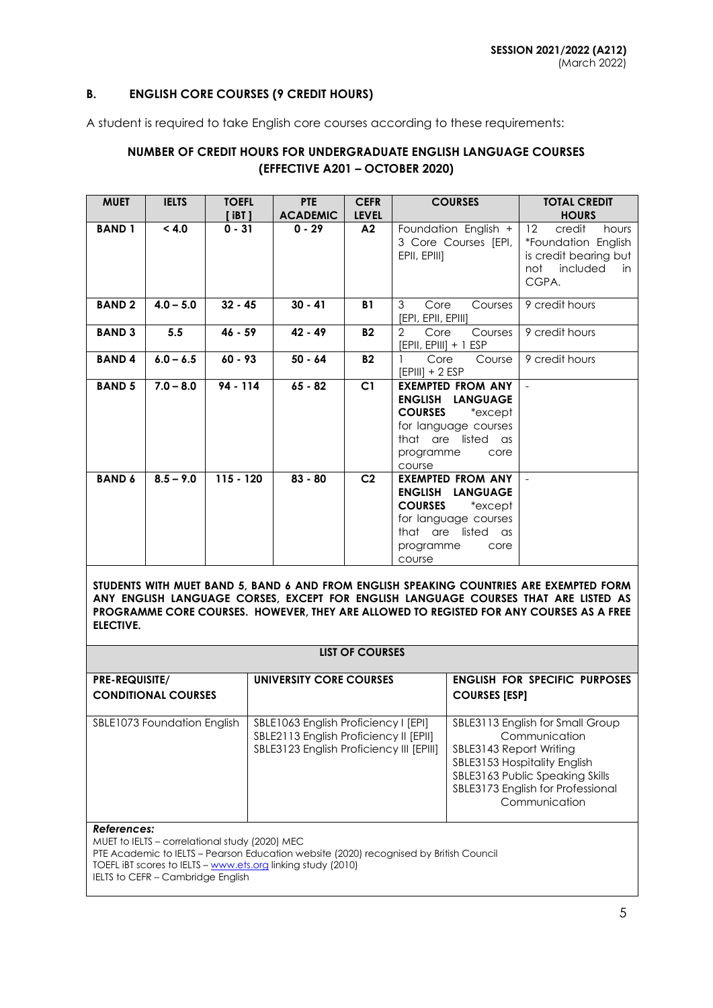#### **B. ENGLISH CORE COURSES (9 CREDIT HOURS)**

A student is required to take English core courses according to these requirements:

# **NUMBER OF CREDIT HOURS FOR UNDERGRADUATE ENGLISH LANGUAGE COURSES (EFFECTIVE A201 – OCTOBER 2020)**

| <b>MUET</b>   | <b>IELTS</b> | <b>TOEFL</b><br>$[$ iBT $]$ | <b>PTE</b><br><b>ACADEMIC</b> | <b>CEFR</b><br><b>LEVEL</b> | <b>COURSES</b>                                                                                                                                         | <b>TOTAL CREDIT</b><br><b>HOURS</b>                                                                                     |
|---------------|--------------|-----------------------------|-------------------------------|-----------------------------|--------------------------------------------------------------------------------------------------------------------------------------------------------|-------------------------------------------------------------------------------------------------------------------------|
| <b>BAND 1</b> | < 4.0        | $0 - 31$                    | $0 - 29$                      | A2                          | Foundation English +<br>3 Core Courses [EPI,<br>EPII, EPIII]                                                                                           | $12 \overline{ }$<br>credit<br>hours<br>*Foundation English<br>is credit bearing but<br>not<br>included<br>in.<br>CGPA. |
| <b>BAND2</b>  | $4.0 - 5.0$  | $32 - 45$                   | $30 - 41$                     | <b>B1</b>                   | 3<br>Core<br>Courses<br>[EPI, EPII, EPIII]                                                                                                             | 9 credit hours                                                                                                          |
| <b>BAND 3</b> | 5.5          | $46 - 59$                   | $42 - 49$                     | <b>B2</b>                   | $\overline{2}$<br>Core<br>Courses<br>$[EPII, EPIII] + 1 ESP$                                                                                           | 9 credit hours                                                                                                          |
| <b>BAND4</b>  | $6.0 - 6.5$  | $60 - 93$                   | $50 - 64$                     | <b>B2</b>                   | Core<br>Course<br>$[EPIII] + 2 ESP$                                                                                                                    | 9 credit hours                                                                                                          |
| <b>BAND 5</b> | $7.0 - 8.0$  | 94 - 114                    | $65 - 82$                     | C1                          | <b>EXEMPTED FROM ANY</b><br>ENGLISH LANGUAGE<br><b>COURSES</b><br>*except<br>for language courses<br>that are listed as<br>programme<br>core<br>course |                                                                                                                         |
| <b>BAND 6</b> | $8.5 - 9.0$  | $115 - 120$                 | $83 - 80$                     | C <sub>2</sub>              | <b>EXEMPTED FROM ANY</b><br>ENGLISH LANGUAGE<br><b>COURSES</b><br>*except<br>for language courses<br>that are listed as<br>programme<br>core<br>course |                                                                                                                         |

**STUDENTS WITH MUET BAND 5, BAND 6 AND FROM ENGLISH SPEAKING COUNTRIES ARE EXEMPTED FORM ANY ENGLISH LANGUAGE CORSES, EXCEPT FOR ENGLISH LANGUAGE COURSES THAT ARE LISTED AS PROGRAMME CORE COURSES. HOWEVER, THEY ARE ALLOWED TO REGISTED FOR ANY COURSES AS A FREE ELECTIVE.**

|                                                     | LIST OF COURSES                                                                                                            |                                                                                                                                                                                                       |
|-----------------------------------------------------|----------------------------------------------------------------------------------------------------------------------------|-------------------------------------------------------------------------------------------------------------------------------------------------------------------------------------------------------|
| <b>PRE-REQUISITE/</b><br><b>CONDITIONAL COURSES</b> | UNIVERSITY CORE COURSES                                                                                                    | <b>ENGLISH FOR SPECIFIC PURPOSES</b><br><b>COURSES [ESP]</b>                                                                                                                                          |
| SBLE1073 Foundation English                         | SBLE1063 English Proficiency I [EPI]<br>SBLE2113 English Proficiency II [EPII]<br>SBLE3123 English Proficiency III [EPIII] | SBLE3113 English for Small Group<br>Communication<br>SBLE3143 Report Writing<br>SBLE3153 Hospitality English<br>SBLE3163 Public Speaking Skills<br>SBLE3173 English for Professional<br>Communication |

#### *References:*

MUET to IELTS – correlational study (2020) MEC PTE Academic to IELTS – Pearson Education website (2020) recognised by British Council TOEFL iBT scores to IELTS – [www.ets.org](http://www.ets.org/) linking study (2010) IELTS to CEFR – Cambridge English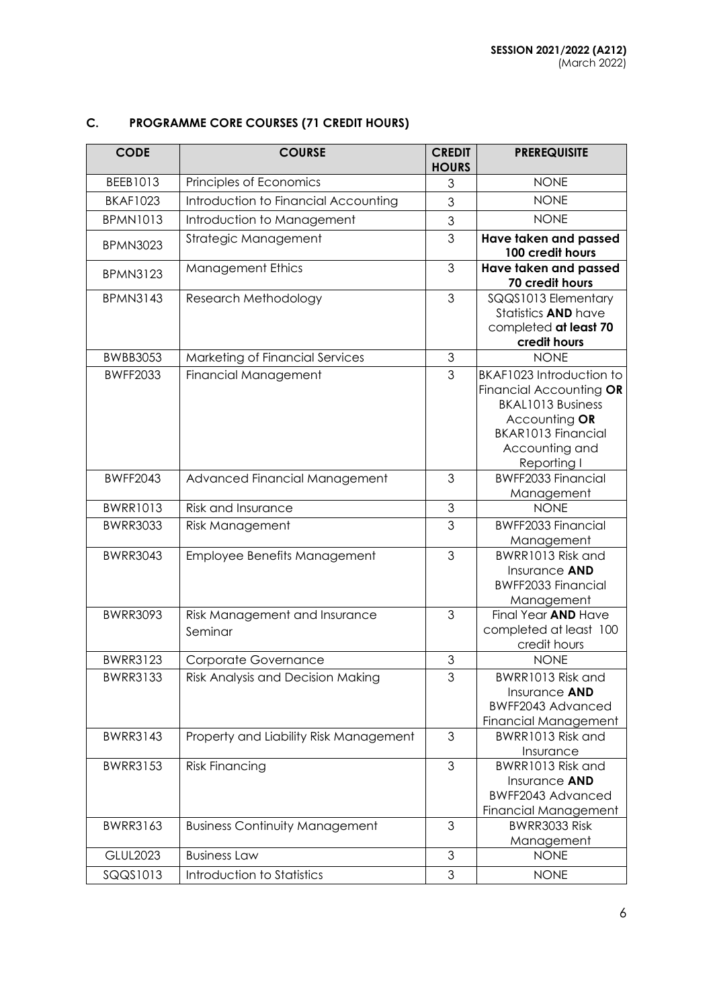# **C. PROGRAMME CORE COURSES (71 CREDIT HOURS)**

| <b>CODE</b>     | <b>COURSE</b>                            | <b>CREDIT</b><br><b>HOURS</b> | <b>PREREQUISITE</b>                                                                                                                                     |
|-----------------|------------------------------------------|-------------------------------|---------------------------------------------------------------------------------------------------------------------------------------------------------|
| BEEB1013        | Principles of Economics                  | 3                             | <b>NONE</b>                                                                                                                                             |
| <b>BKAF1023</b> | Introduction to Financial Accounting     | 3                             | <b>NONE</b>                                                                                                                                             |
| <b>BPMN1013</b> | Introduction to Management               | 3                             | <b>NONE</b>                                                                                                                                             |
| <b>BPMN3023</b> | Strategic Management                     | 3                             | Have taken and passed<br>100 credit hours                                                                                                               |
| <b>BPMN3123</b> | <b>Management Ethics</b>                 | 3                             | Have taken and passed<br>70 credit hours                                                                                                                |
| <b>BPMN3143</b> | Research Methodology                     | 3                             | SQQS1013 Elementary<br>Statistics <b>AND</b> have<br>completed at least 70<br>credit hours                                                              |
| <b>BWBB3053</b> | Marketing of Financial Services          | 3                             | <b>NONE</b>                                                                                                                                             |
| <b>BWFF2033</b> | <b>Financial Management</b>              | 3                             | BKAF1023 Introduction to<br>Financial Accounting OR<br><b>BKAL1013 Business</b><br>Accounting OR<br>BKAR1013 Financial<br>Accounting and<br>Reporting I |
| <b>BWFF2043</b> | Advanced Financial Management            | 3                             | <b>BWFF2033 Financial</b><br>Management                                                                                                                 |
| <b>BWRR1013</b> | <b>Risk and Insurance</b>                | 3                             | <b>NONE</b>                                                                                                                                             |
| <b>BWRR3033</b> | <b>Risk Management</b>                   | 3                             | <b>BWFF2033 Financial</b><br>Management                                                                                                                 |
| <b>BWRR3043</b> | Employee Benefits Management             | 3                             | BWRR1013 Risk and<br>Insurance AND<br><b>BWFF2033 Financial</b><br>Management                                                                           |
| <b>BWRR3093</b> | Risk Management and Insurance<br>Seminar | 3                             | Final Year AND Have<br>completed at least 100<br>credit hours                                                                                           |
| <b>BWRR3123</b> | <b>Corporate Governance</b>              | 3                             | <b>NONE</b>                                                                                                                                             |
| <b>BWRR3133</b> | Risk Analysis and Decision Making        | 3                             | BWRR1013 Risk and<br>Insurance AND<br>BWFF2043 Advanced<br><b>Financial Management</b>                                                                  |
| <b>BWRR3143</b> | Property and Liability Risk Management   | 3                             | BWRR1013 Risk and<br>Insurance                                                                                                                          |
| <b>BWRR3153</b> | <b>Risk Financing</b>                    | 3                             | BWRR1013 Risk and<br>Insurance AND<br>BWFF2043 Advanced<br>Financial Management                                                                         |
| <b>BWRR3163</b> | <b>Business Continuity Management</b>    | 3                             | BWRR3033 Risk<br>Management                                                                                                                             |
| <b>GLUL2023</b> | <b>Business Law</b>                      | 3                             | <b>NONE</b>                                                                                                                                             |
| SQQS1013        | Introduction to Statistics               | 3                             | <b>NONE</b>                                                                                                                                             |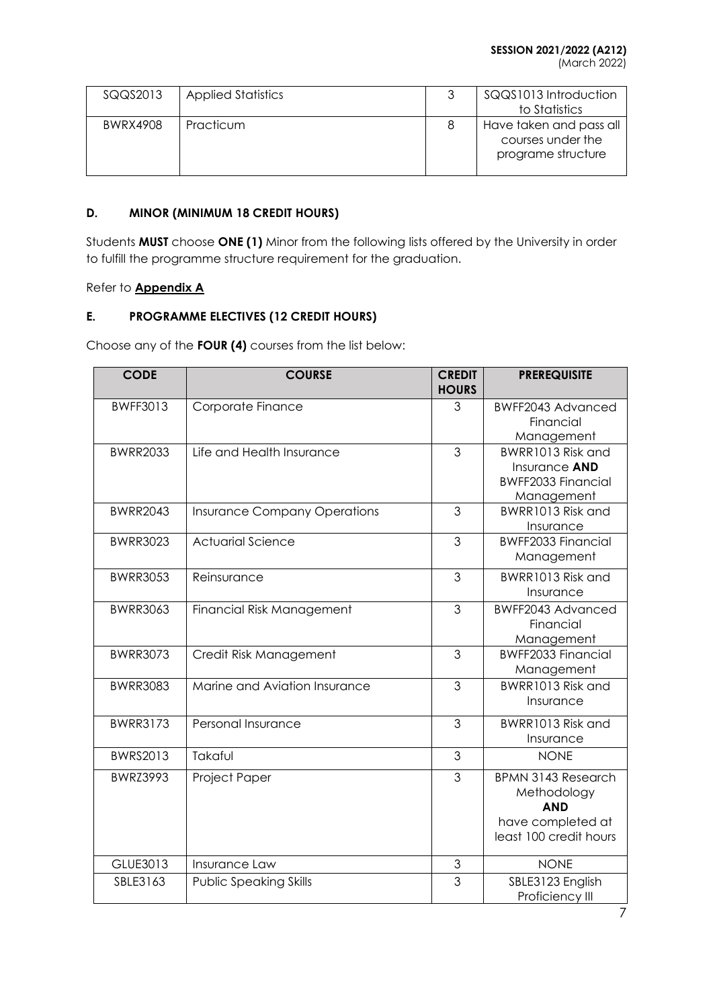(March 2022)

| SQQS2013 | <b>Applied Statistics</b> | SQQS1013 Introduction<br>to Statistics                             |
|----------|---------------------------|--------------------------------------------------------------------|
| BWRX4908 | Practicum                 | Have taken and pass all<br>courses under the<br>programe structure |

# **D. MINOR (MINIMUM 18 CREDIT HOURS)**

Students **MUST** choose **ONE (1)** Minor from the following lists offered by the University in order to fulfill the programme structure requirement for the graduation.

### Refer to **Appendix A**

# **E. PROGRAMME ELECTIVES (12 CREDIT HOURS)**

Choose any of the **FOUR (4)** courses from the list below:

| <b>CODE</b>     | <b>COURSE</b>                       | <b>CREDIT</b><br><b>HOURS</b> | <b>PREREQUISITE</b>            |
|-----------------|-------------------------------------|-------------------------------|--------------------------------|
| <b>BWFF3013</b> | Corporate Finance                   | 3                             | BWFF2043 Advanced              |
|                 |                                     |                               | Financial                      |
|                 |                                     |                               | Management                     |
| <b>BWRR2033</b> | Life and Health Insurance           | 3                             | BWRR1013 Risk and              |
|                 |                                     |                               | Insurance AND                  |
|                 |                                     |                               | <b>BWFF2033 Financial</b>      |
|                 |                                     |                               | Management                     |
| <b>BWRR2043</b> | <b>Insurance Company Operations</b> | 3                             | BWRR1013 Risk and<br>Insurance |
| <b>BWRR3023</b> | <b>Actuarial Science</b>            | 3                             | <b>BWFF2033 Financial</b>      |
|                 |                                     |                               | Management                     |
|                 |                                     |                               |                                |
| <b>BWRR3053</b> | Reinsurance                         | 3                             | BWRR1013 Risk and              |
|                 |                                     |                               | Insurance                      |
| <b>BWRR3063</b> | <b>Financial Risk Management</b>    | 3                             | <b>BWFF2043 Advanced</b>       |
|                 |                                     |                               | Financial                      |
|                 |                                     |                               | Management                     |
| <b>BWRR3073</b> | Credit Risk Management              | 3                             | <b>BWFF2033 Financial</b>      |
|                 |                                     |                               | Management                     |
| <b>BWRR3083</b> | Marine and Aviation Insurance       | 3                             | BWRR1013 Risk and              |
|                 |                                     |                               | Insurance                      |
| <b>BWRR3173</b> | Personal Insurance                  | 3                             | BWRR1013 Risk and              |
|                 |                                     |                               | Insurance                      |
| <b>BWRS2013</b> | Takaful                             | 3                             | <b>NONE</b>                    |
| <b>BWRZ3993</b> | Project Paper                       | 3                             | <b>BPMN 3143 Research</b>      |
|                 |                                     |                               | Methodology                    |
|                 |                                     |                               | <b>AND</b>                     |
|                 |                                     |                               | have completed at              |
|                 |                                     |                               | least 100 credit hours         |
| GLUE3013        | Insurance Law                       | 3                             | <b>NONE</b>                    |
| SBLE3163        | <b>Public Speaking Skills</b>       | 3                             | SBLE3123 English               |
|                 |                                     |                               | Proficiency III                |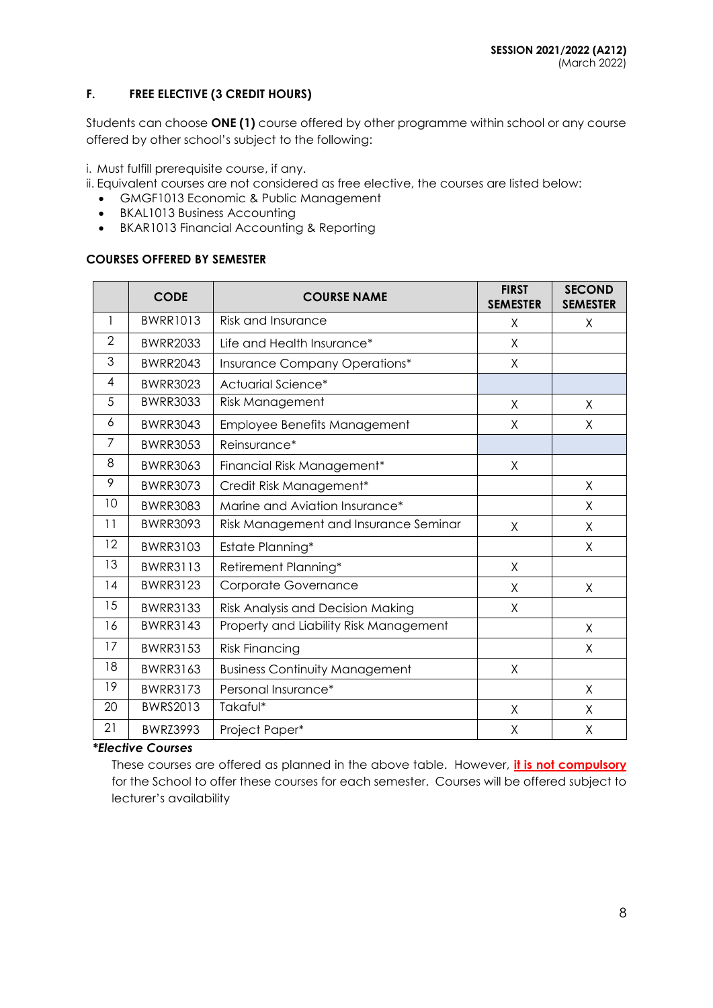## **F. FREE ELECTIVE (3 CREDIT HOURS)**

Students can choose **ONE (1)** course offered by other programme within school or any course offered by other school's subject to the following:

i. Must fulfill prerequisite course, if any.

- ii. Equivalent courses are not considered as free elective, the courses are listed below:
	- GMGF1013 Economic & Public Management
	- BKAL1013 Business Accounting
	- BKAR1013 Financial Accounting & Reporting

#### **COURSES OFFERED BY SEMESTER**

|                | <b>CODE</b>     | <b>COURSE NAME</b>                     | <b>FIRST</b><br><b>SEMESTER</b> | <b>SECOND</b><br><b>SEMESTER</b> |
|----------------|-----------------|----------------------------------------|---------------------------------|----------------------------------|
| 1              | <b>BWRR1013</b> | <b>Risk and Insurance</b>              | X                               | X                                |
| 2              | <b>BWRR2033</b> | Life and Health Insurance*             | X                               |                                  |
| 3              | <b>BWRR2043</b> | Insurance Company Operations*          | X                               |                                  |
| $\overline{4}$ | <b>BWRR3023</b> | Actuarial Science*                     |                                 |                                  |
| 5              | <b>BWRR3033</b> | <b>Risk Management</b>                 | X                               | X                                |
| 6              | <b>BWRR3043</b> | Employee Benefits Management           | X                               | X                                |
| 7              | <b>BWRR3053</b> | Reinsurance*                           |                                 |                                  |
| 8              | <b>BWRR3063</b> | Financial Risk Management*             | X                               |                                  |
| 9              | <b>BWRR3073</b> | Credit Risk Management*                |                                 | X                                |
| 10             | <b>BWRR3083</b> | Marine and Aviation Insurance*         |                                 | X                                |
| 11             | <b>BWRR3093</b> | Risk Management and Insurance Seminar  | X                               | X                                |
| 12             | <b>BWRR3103</b> | Estate Planning*                       |                                 | X                                |
| 13             | <b>BWRR3113</b> | Retirement Planning*                   | X                               |                                  |
| 14             | <b>BWRR3123</b> | Corporate Governance                   | X                               | $\sf X$                          |
| 15             | <b>BWRR3133</b> | Risk Analysis and Decision Making      | X                               |                                  |
| 16             | <b>BWRR3143</b> | Property and Liability Risk Management |                                 | X                                |
| 17             | <b>BWRR3153</b> | <b>Risk Financing</b>                  |                                 | Χ                                |
| 18             | <b>BWRR3163</b> | <b>Business Continuity Management</b>  | Χ                               |                                  |
| 19             | <b>BWRR3173</b> | Personal Insurance*                    |                                 | X                                |
| 20             | <b>BWRS2013</b> | Takaful*                               | X                               | X                                |
| 21             | <b>BWRZ3993</b> | Project Paper*                         | Χ                               | Χ                                |

#### *\*Elective Courses*

These courses are offered as planned in the above table. However, **it is not compulsory** for the School to offer these courses for each semester. Courses will be offered subject to lecturer's availability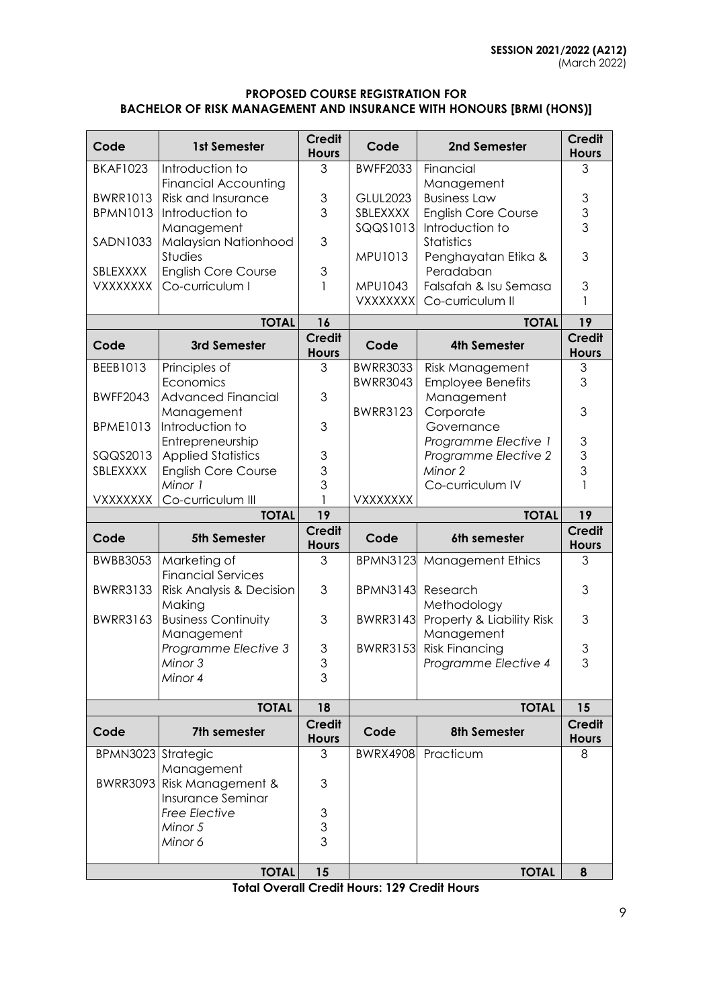### **PROPOSED COURSE REGISTRATION FOR BACHELOR OF RISK MANAGEMENT AND INSURANCE WITH HONOURS [BRMI (HONS)]**

| Code                        | 1st Semester                                             | <b>Credit</b><br><b>Hours</b>              | Code                               | 2nd Semester                           | <b>Credit</b><br><b>Hours</b>  |
|-----------------------------|----------------------------------------------------------|--------------------------------------------|------------------------------------|----------------------------------------|--------------------------------|
| <b>BKAF1023</b>             | Introduction to                                          | 3                                          | <b>BWFF2033</b>                    | Financial                              | 3                              |
| <b>BWRR1013</b>             | <b>Financial Accounting</b><br><b>Risk and Insurance</b> | $\ensuremath{\mathsf{3}}$                  | <b>GLUL2023</b>                    | Management<br><b>Business Law</b>      |                                |
| <b>BPMN1013</b>             | Introduction to                                          | 3                                          | SBLEXXXX                           | <b>English Core Course</b>             | $\ensuremath{\mathsf{3}}$<br>3 |
|                             | Management                                               |                                            | SQQS1013                           | Introduction to                        | $\overline{3}$                 |
| SADN1033                    | Malaysian Nationhood                                     | 3                                          |                                    | <b>Statistics</b>                      |                                |
|                             | Studies                                                  |                                            | MPU1013                            | Penghayatan Etika &                    | 3                              |
| SBLEXXXX<br><b>VXXXXXXX</b> | <b>English Core Course</b><br>Co-curriculum I            | 3<br>1                                     | MPU1043                            | Peradaban<br>Falsafah & Isu Semasa     | 3                              |
|                             |                                                          |                                            | <b>VXXXXXXX</b>                    | Co-curriculum II                       | 1                              |
|                             | <b>TOTAL</b>                                             | 16                                         |                                    | <b>TOTAL</b>                           | 19                             |
| Code                        | 3rd Semester                                             | <b>Credit</b>                              | Code                               | <b>4th Semester</b>                    | <b>Credit</b>                  |
|                             |                                                          | <b>Hours</b>                               |                                    |                                        | <b>Hours</b>                   |
| BEEB1013                    | Principles of<br>Economics                               | 3                                          | <b>BWRR3033</b><br><b>BWRR3043</b> | Risk Management                        | 3<br>3                         |
| <b>BWFF2043</b>             | <b>Advanced Financial</b>                                | 3                                          |                                    | <b>Employee Benefits</b><br>Management |                                |
|                             | Management                                               |                                            | <b>BWRR3123</b>                    | Corporate                              | 3                              |
| <b>BPME1013</b>             | Introduction to                                          | 3                                          |                                    | Governance                             |                                |
|                             | Entrepreneurship                                         |                                            |                                    | Programme Elective 1                   | 3                              |
| SQQS2013<br>SBLEXXXX        | <b>Applied Statistics</b><br><b>English Core Course</b>  | $\ensuremath{\mathsf{3}}$<br>3             |                                    | Programme Elective 2<br>Minor 2        | 3<br>3                         |
|                             | Minor 1                                                  | 3                                          |                                    | Co-curriculum IV                       | 1                              |
| <b>VXXXXXXX</b>             | Co-curriculum III                                        |                                            | VXXXXXXX                           |                                        |                                |
|                             |                                                          |                                            |                                    |                                        |                                |
|                             | <b>TOTAL</b>                                             | 19                                         |                                    | <b>TOTAL</b>                           | 19                             |
| Code                        | <b>5th Semester</b>                                      | <b>Credit</b><br><b>Hours</b>              | Code                               | 6th semester                           | <b>Credit</b><br><b>Hours</b>  |
| <b>BWBB3053</b>             | Marketing of                                             | 3                                          | <b>BPMN3123</b>                    | <b>Management Ethics</b>               | 3                              |
|                             | <b>Financial Services</b>                                |                                            |                                    |                                        |                                |
| <b>BWRR3133</b>             | Risk Analysis & Decision                                 | 3                                          | <b>BPMN3143</b>                    | Research<br>Methodology                | 3                              |
| <b>BWRR3163</b>             | Making<br><b>Business Continuity</b>                     | 3                                          | <b>BWRR3143</b>                    | Property & Liability Risk              | 3                              |
|                             | Management                                               |                                            |                                    | Management                             |                                |
|                             | Programme Elective 3                                     | $\ensuremath{\mathsf{3}}$                  | <b>BWRR3153</b>                    | <b>Risk Financing</b>                  | 3                              |
|                             | Minor 3                                                  | $\ensuremath{\mathsf{3}}$                  |                                    | Programme Elective 4                   | 3                              |
|                             | Minor 4                                                  | 3                                          |                                    |                                        |                                |
|                             | <b>TOTAL</b>                                             | 18                                         |                                    | <b>TOTAL</b>                           | 15                             |
| Code                        | 7th semester                                             | <b>Credit</b><br><b>Hours</b>              | Code                               | <b>8th Semester</b>                    | <b>Credit</b><br><b>Hours</b>  |
| BPMN3023 Strategic          |                                                          | 3                                          | <b>BWRX4908</b>                    | Practicum                              | 8                              |
|                             | Management<br>BWRR3093 Risk Management &                 | 3                                          |                                    |                                        |                                |
|                             | Insurance Seminar                                        |                                            |                                    |                                        |                                |
|                             | Free Elective<br>Minor 5                                 | $\mathfrak 3$<br>$\ensuremath{\mathsf{3}}$ |                                    |                                        |                                |
|                             | Minor 6                                                  | 3                                          |                                    |                                        |                                |

**Total Overall Credit Hours: 129 Credit Hours**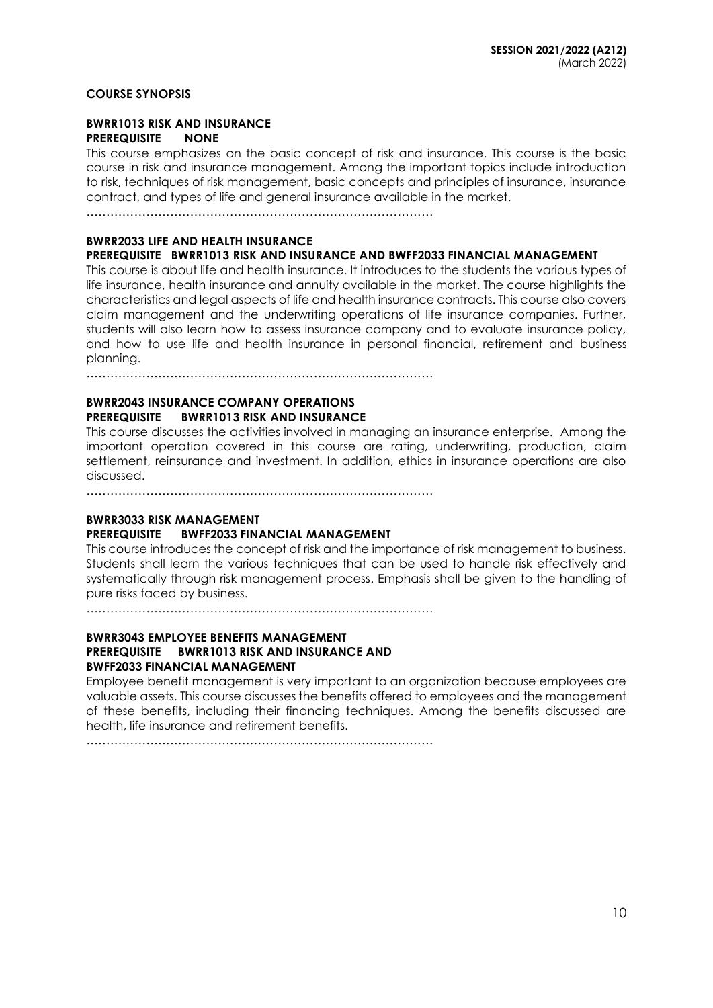#### **COURSE SYNOPSIS**

#### **BWRR1013 RISK AND INSURANCE PREREQUISITE NONE**

This course emphasizes on the basic concept of risk and insurance. This course is the basic course in risk and insurance management. Among the important topics include introduction to risk, techniques of risk management, basic concepts and principles of insurance, insurance contract, and types of life and general insurance available in the market.

……………………………………………………………………………

#### **BWRR2033 LIFE AND HEALTH INSURANCE**

#### **PREREQUISITE BWRR1013 RISK AND INSURANCE AND BWFF2033 FINANCIAL MANAGEMENT**

This course is about life and health insurance. It introduces to the students the various types of life insurance, health insurance and annuity available in the market. The course highlights the characteristics and legal aspects of life and health insurance contracts. This course also covers claim management and the underwriting operations of life insurance companies. Further, students will also learn how to assess insurance company and to evaluate insurance policy, and how to use life and health insurance in personal financial, retirement and business planning.

……………………………………………………………………………

### **BWRR2043 INSURANCE COMPANY OPERATIONS PREREQUISITE BWRR1013 RISK AND INSURANCE**

This course discusses the activities involved in managing an insurance enterprise. Among the important operation covered in this course are rating, underwriting, production, claim settlement, reinsurance and investment. In addition, ethics in insurance operations are also discussed.

……………………………………………………………………………

### **BWRR3033 RISK MANAGEMENT**

#### **PREREQUISITE BWFF2033 FINANCIAL MANAGEMENT**

This course introduces the concept of risk and the importance of risk management to business. Students shall learn the various techniques that can be used to handle risk effectively and systematically through risk management process. Emphasis shall be given to the handling of pure risks faced by business.

……………………………………………………………………………

### **BWRR3043 EMPLOYEE BENEFITS MANAGEMENT PREREQUISITE BWRR1013 RISK AND INSURANCE AND BWFF2033 FINANCIAL MANAGEMENT**

Employee benefit management is very important to an organization because employees are valuable assets. This course discusses the benefits offered to employees and the management of these benefits, including their financing techniques. Among the benefits discussed are health, life insurance and retirement benefits.

 $\mathcal{L}^{(n)}$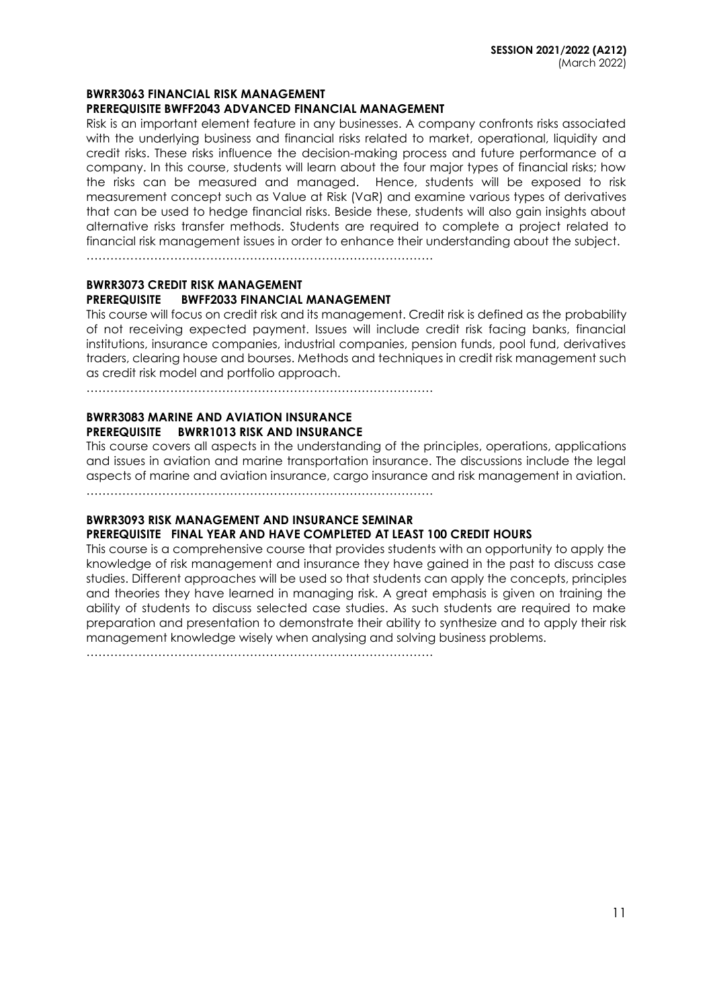#### **BWRR3063 FINANCIAL RISK MANAGEMENT**

#### **PREREQUISITE BWFF2043 ADVANCED FINANCIAL MANAGEMENT**

Risk is an important element feature in any businesses. A company confronts risks associated with the underlying business and financial risks related to market, operational, liquidity and credit risks. These risks influence the decision-making process and future performance of a company. In this course, students will learn about the four major types of financial risks; how the risks can be measured and managed. Hence, students will be exposed to risk measurement concept such as Value at Risk (VaR) and examine various types of derivatives that can be used to hedge financial risks. Beside these, students will also gain insights about alternative risks transfer methods. Students are required to complete a project related to financial risk management issues in order to enhance their understanding about the subject.

……………………………………………………………………………

# **BWRR3073 CREDIT RISK MANAGEMENT PREREQUISITE BWFF2033 FINANCIAL MANAGEMENT**

This course will focus on credit risk and its management. Credit risk is defined as the probability of not receiving expected payment. Issues will include credit risk facing banks, financial institutions, insurance companies, industrial companies, pension funds, pool fund, derivatives traders, clearing house and bourses. Methods and techniques in credit risk management such as credit risk model and portfolio approach.

……………………………………………………………………………

### **BWRR3083 MARINE AND AVIATION INSURANCE PREREQUISITE BWRR1013 RISK AND INSURANCE**

This course covers all aspects in the understanding of the principles, operations, applications and issues in aviation and marine transportation insurance. The discussions include the legal aspects of marine and aviation insurance, cargo insurance and risk management in aviation. ……………………………………………………………………………

### **BWRR3093 RISK MANAGEMENT AND INSURANCE SEMINAR PREREQUISITE FINAL YEAR AND HAVE COMPLETED AT LEAST 100 CREDIT HOURS**

This course is a comprehensive course that provides students with an opportunity to apply the knowledge of risk management and insurance they have gained in the past to discuss case studies. Different approaches will be used so that students can apply the concepts, principles and theories they have learned in managing risk. A great emphasis is given on training the ability of students to discuss selected case studies. As such students are required to make preparation and presentation to demonstrate their ability to synthesize and to apply their risk management knowledge wisely when analysing and solving business problems.

……………………………………………………………………………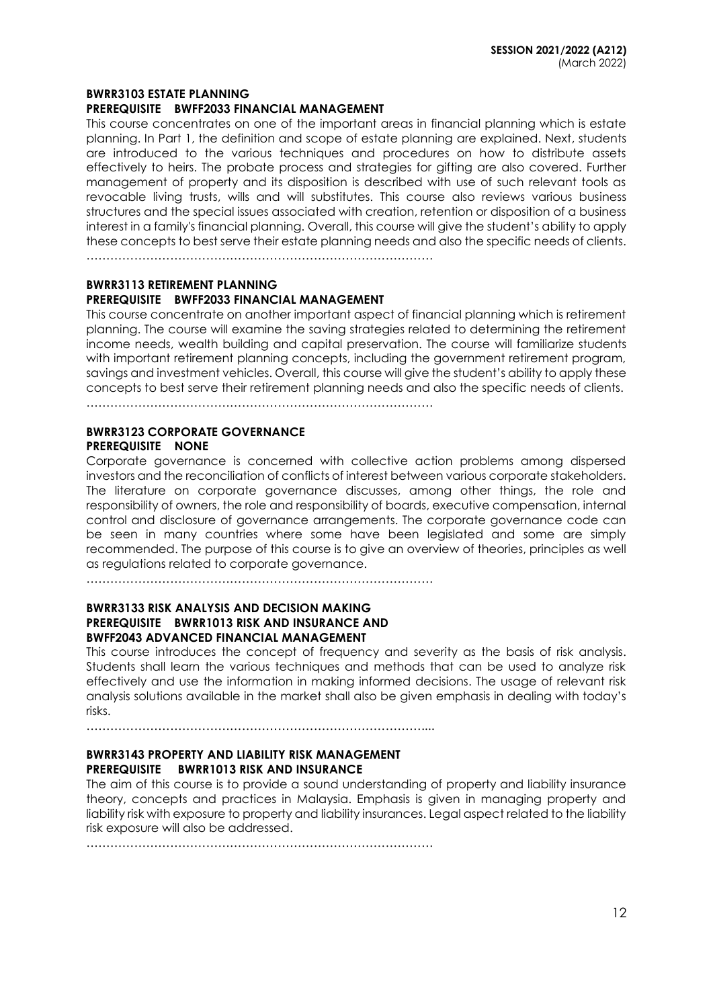#### **BWRR3103 ESTATE PLANNING**

#### **PREREQUISITE BWFF2033 FINANCIAL MANAGEMENT**

This course concentrates on one of the important areas in financial planning which is estate planning. In Part 1, the definition and scope of estate planning are explained. Next, students are introduced to the various techniques and procedures on how to distribute assets effectively to heirs. The probate process and strategies for gifting are also covered. Further management of property and its disposition is described with use of such relevant tools as revocable living trusts, wills and will substitutes. This course also reviews various business structures and the special issues associated with creation, retention or disposition of a business interest in a family's financial planning. Overall, this course will give the student's ability to apply these concepts to best serve their estate planning needs and also the specific needs of clients.

……………………………………………………………………………

#### **BWRR3113 RETIREMENT PLANNING**

#### **PREREQUISITE BWFF2033 FINANCIAL MANAGEMENT**

This course concentrate on another important aspect of financial planning which is retirement planning. The course will examine the saving strategies related to determining the retirement income needs, wealth building and capital preservation. The course will familiarize students with important retirement planning concepts, including the government retirement program, savings and investment vehicles. Overall, this course will give the student's ability to apply these concepts to best serve their retirement planning needs and also the specific needs of clients.

……………………………………………………………………………

### **BWRR3123 CORPORATE GOVERNANCE PREREQUISITE NONE**

Corporate governance is concerned with collective action problems among dispersed investors and the reconciliation of conflicts of interest between various corporate stakeholders. The literature on corporate governance discusses, among other things, the role and responsibility of owners, the role and responsibility of boards, executive compensation, internal control and disclosure of governance arrangements. The corporate governance code can be seen in many countries where some have been legislated and some are simply recommended. The purpose of this course is to give an overview of theories, principles as well as regulations related to corporate governance.

……………………………………………………………………………

#### **BWRR3133 RISK ANALYSIS AND DECISION MAKING PREREQUISITE BWRR1013 RISK AND INSURANCE AND BWFF2043 ADVANCED FINANCIAL MANAGEMENT**

This course introduces the concept of frequency and severity as the basis of risk analysis. Students shall learn the various techniques and methods that can be used to analyze risk effectively and use the information in making informed decisions. The usage of relevant risk analysis solutions available in the market shall also be given emphasis in dealing with today's risks.

…………………………………………………………………………....

### **BWRR3143 PROPERTY AND LIABILITY RISK MANAGEMENT PREREQUISITE BWRR1013 RISK AND INSURANCE**

The aim of this course is to provide a sound understanding of property and liability insurance theory, concepts and practices in Malaysia. Emphasis is given in managing property and liability risk with exposure to property and liability insurances. Legal aspect related to the liability risk exposure will also be addressed.

……………………………………………………………………………